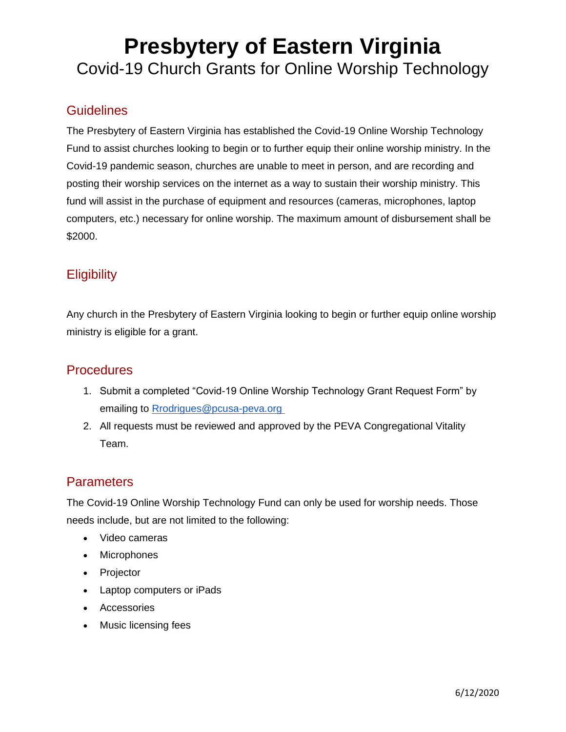### **Presbytery of Eastern Virginia** Covid-19 Church Grants for Online Worship Technology

#### **Guidelines**

The Presbytery of Eastern Virginia has established the Covid-19 Online Worship Technology Fund to assist churches looking to begin or to further equip their online worship ministry. In the Covid-19 pandemic season, churches are unable to meet in person, and are recording and posting their worship services on the internet as a way to sustain their worship ministry. This fund will assist in the purchase of equipment and resources (cameras, microphones, laptop computers, etc.) necessary for online worship. The maximum amount of disbursement shall be \$2000.

#### **Eligibility**

Any church in the Presbytery of Eastern Virginia looking to begin or further equip online worship ministry is eligible for a grant.

#### **Procedures**

- 1. Submit a completed "Covid-19 Online Worship Technology Grant Request Form" by emailing to [Rrodrigues@pcusa-peva.org](mailto:Rrodrigues@pcusa-peva.org)
- 2. All requests must be reviewed and approved by the PEVA Congregational Vitality Team.

#### **Parameters**

The Covid-19 Online Worship Technology Fund can only be used for worship needs. Those needs include, but are not limited to the following:

- Video cameras
- Microphones
- Projector
- Laptop computers or iPads
- Accessories
- Music licensing fees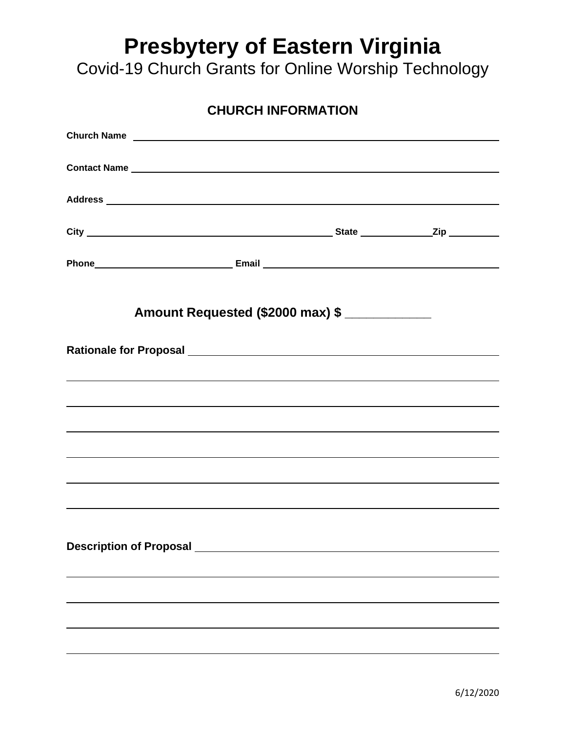## **Presbytery of Eastern Virginia**

Covid-19 Church Grants for Online Worship Technology

| <b>CHURCH INFORMATION</b>                                                                                                                                                                                                      |  |  |  |  |  |
|--------------------------------------------------------------------------------------------------------------------------------------------------------------------------------------------------------------------------------|--|--|--|--|--|
|                                                                                                                                                                                                                                |  |  |  |  |  |
|                                                                                                                                                                                                                                |  |  |  |  |  |
|                                                                                                                                                                                                                                |  |  |  |  |  |
|                                                                                                                                                                                                                                |  |  |  |  |  |
|                                                                                                                                                                                                                                |  |  |  |  |  |
| Amount Requested (\$2000 max) \$                                                                                                                                                                                               |  |  |  |  |  |
|                                                                                                                                                                                                                                |  |  |  |  |  |
|                                                                                                                                                                                                                                |  |  |  |  |  |
| ,我们也不会有什么。""我们的人,我们也不会有什么?""我们的人,我们也不会有什么?""我们的人,我们也不会有什么?""我们的人,我们也不会有什么?""我们的人                                                                                                                                               |  |  |  |  |  |
|                                                                                                                                                                                                                                |  |  |  |  |  |
|                                                                                                                                                                                                                                |  |  |  |  |  |
|                                                                                                                                                                                                                                |  |  |  |  |  |
|                                                                                                                                                                                                                                |  |  |  |  |  |
|                                                                                                                                                                                                                                |  |  |  |  |  |
| Description of Proposal Network and Security and Security and Security and Security and Security and Security and Security and Security and Security and Security and Security and Security and Security and Security and Secu |  |  |  |  |  |
|                                                                                                                                                                                                                                |  |  |  |  |  |
|                                                                                                                                                                                                                                |  |  |  |  |  |
|                                                                                                                                                                                                                                |  |  |  |  |  |
|                                                                                                                                                                                                                                |  |  |  |  |  |